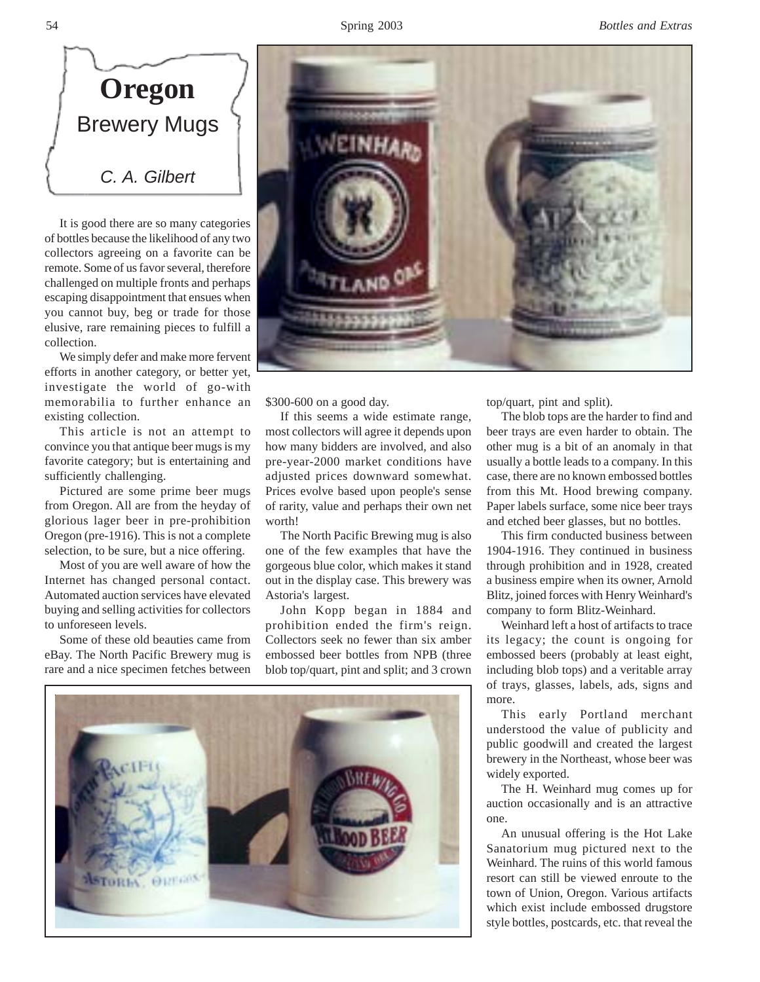

It is good there are so many categories of bottles because the likelihood of any two collectors agreeing on a favorite can be remote. Some of us favor several, therefore challenged on multiple fronts and perhaps escaping disappointment that ensues when you cannot buy, beg or trade for those elusive, rare remaining pieces to fulfill a collection.

We simply defer and make more fervent efforts in another category, or better yet, investigate the world of go-with memorabilia to further enhance an existing collection.

This article is not an attempt to convince you that antique beer mugs is my favorite category; but is entertaining and sufficiently challenging.

Pictured are some prime beer mugs from Oregon. All are from the heyday of glorious lager beer in pre-prohibition Oregon (pre-1916). This is not a complete selection, to be sure, but a nice offering.

Most of you are well aware of how the Internet has changed personal contact. Automated auction services have elevated buying and selling activities for collectors to unforeseen levels.

Some of these old beauties came from eBay. The North Pacific Brewery mug is rare and a nice specimen fetches between



\$300-600 on a good day.

If this seems a wide estimate range, most collectors will agree it depends upon how many bidders are involved, and also pre-year-2000 market conditions have adjusted prices downward somewhat. Prices evolve based upon people's sense of rarity, value and perhaps their own net worth!

The North Pacific Brewing mug is also one of the few examples that have the gorgeous blue color, which makes it stand out in the display case. This brewery was Astoria's largest.

John Kopp began in 1884 and prohibition ended the firm's reign. Collectors seek no fewer than six amber embossed beer bottles from NPB (three blob top/quart, pint and split; and 3 crown



top/quart, pint and split).

The blob tops are the harder to find and beer trays are even harder to obtain. The other mug is a bit of an anomaly in that usually a bottle leads to a company. In this case, there are no known embossed bottles from this Mt. Hood brewing company. Paper labels surface, some nice beer trays and etched beer glasses, but no bottles.

This firm conducted business between 1904-1916. They continued in business through prohibition and in 1928, created a business empire when its owner, Arnold Blitz, joined forces with Henry Weinhard's company to form Blitz-Weinhard.

Weinhard left a host of artifacts to trace its legacy; the count is ongoing for embossed beers (probably at least eight, including blob tops) and a veritable array of trays, glasses, labels, ads, signs and more.

This early Portland merchant understood the value of publicity and public goodwill and created the largest brewery in the Northeast, whose beer was widely exported.

The H. Weinhard mug comes up for auction occasionally and is an attractive one.

An unusual offering is the Hot Lake Sanatorium mug pictured next to the Weinhard. The ruins of this world famous resort can still be viewed enroute to the town of Union, Oregon. Various artifacts which exist include embossed drugstore style bottles, postcards, etc. that reveal the